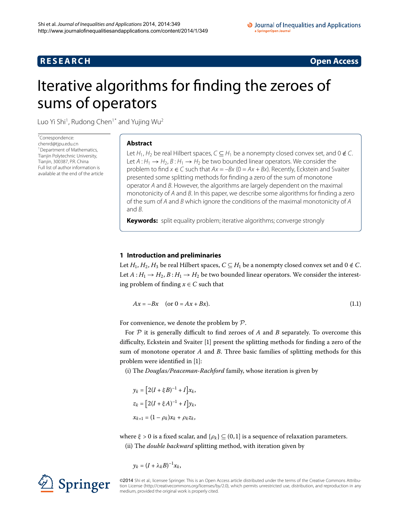## **R E S E A R C H Open Access**

<span id="page-0-1"></span>

# <span id="page-0-0"></span>Iterative algorithms for finding the zeroes of sums of operators

Luo Yi Shi<sup>[1](#page-14-0)</sup>, Rudong Chen<sup>1[\\*](#page-0-0)</sup> and Yujing Wu<sup>2</sup>

\* Correspondence: [chenrd@tjpu.edu.cn](mailto:chenrd@tjpu.edu.cn) <sup>1</sup> Department of Mathematics, Tianjin Polytechnic University, Tianjin, 300387, P.R. China Full list of author information is available at the end of the article

## **Abstract**

Let  $H_1$ ,  $H_2$  be real Hilbert spaces,  $C \subseteq H_1$  be a nonempty closed convex set, and 0  $\notin C$ . Let  $A: H_1 \rightarrow H_2$ ,  $B: H_1 \rightarrow H_2$  be two bounded linear operators. We consider the problem to find  $x \in C$  such that  $Ax = -Bx$  (0 = Ax + Bx). Recently, Eckstein and Svaiter presented some splitting methods for finding a zero of the sum of monotone operator A and B. However, the algorithms are largely dependent on the maximal monotonicity of A and B. In this paper, we describe some algorithms for finding a zero of the sum of A and B which ignore the conditions of the maximal monotonicity of A and B.

**Keywords:** split equality problem; iterative algorithms; converge strongly

## **1 Introduction and preliminaries**

Let  $H_1$ ,  $H_2$ ,  $H_3$  be real Hilbert spaces,  $C \subseteq H_1$  be a nonempty closed convex set and  $0 \notin C$ . Let  $A: H_1 \rightarrow H_2$ ,  $B: H_1 \rightarrow H_2$  be two bounded linear operators. We consider the interesting problem of finding  $x \in C$  such that

$$
Ax = -Bx \quad \text{(or } 0 = Ax + Bx\text{)}.
$$
\n<sup>(1.1)</sup>

For convenience, we denote the problem by  $P$ .

For  $P$  it is generally difficult to find zeroes of  $A$  and  $B$  separately. To overcome this difficulty, Eckstein and Svaiter [1[\]](#page-15-0) present the splitting methods for finding a zero of the sum of monotone operator *A* and *B*. Three basic families of splitting methods for this problem were identified in [\[](#page-15-0)1]:

(i) The *Douglas/Peaceman-Rachford* family, whose iteration is given by

 $y_k = [2(I + \xi B)^{-1} + I]x_k,$  $z_k = [2(I + \xi A)^{-1} + I] y_k,$  $x_{k+1} = (1 - \rho_k)x_k + \rho_k z_k$ 

where  $\xi > 0$  is a fixed scalar, and  $\{\rho_k\} \subseteq (0,1]$  is a sequence of relaxation parameters. (ii) The *double backward* splitting method, with iteration given by

$$
y_k=(I+\lambda_k B)^{-1}x_k,
$$



©2014 Shi et al.; licensee Springer. This is an Open Access article distributed under the terms of the Creative Commons Attribution License ([http://creativecommons.org/licenses/by/2.0\)](http://creativecommons.org/licenses/by/2.0), which permits unrestricted use, distribution, and reproduction in any medium, provided the original work is properly cited.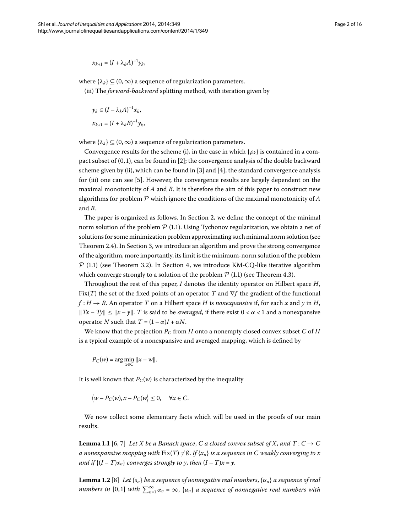$$
x_{k+1}=(I+\lambda_kA)^{-1}y_k,
$$

where  $\{\lambda_k\} \subseteq (0,\infty)$  a sequence of regularization parameters. (iii) The *forward-backward* splitting method, with iteration given by

$$
y_k \in (I - \lambda_k A)^{-1} x_k,
$$
  

$$
x_{k+1} = (I + \lambda_k B)^{-1} y_k,
$$

where  $\{\lambda_k\} \subseteq (0,\infty)$  a sequence of regularization parameters.

Convergence results for the scheme (i), in the case in which  $\{\rho_k\}$  is contained in a compact subset of  $(0, 1)$ , can be found in [2[\]](#page-15-1); the convergence analysis of the double backward scheme given by (ii), which can be found in  $[3]$  $[3]$  and  $[4]$ ; the standard convergence analysis for (iii) one can see [\[](#page-15-4)5]. However, the convergence results are largely dependent on the maximal monotonicity of *A* and *B*. It is therefore the aim of this paper to construct new algorithms for problem P which ignore the conditions of the maximal monotonicity of *A* and *B*.

The paper is organized as follows. In Section 2[,](#page-2-0) we define the concept of the minimal norm solution of the problem  $P(1.1)$ . Using Tychonov regularization, we obtain a net of solutions for some minimization problem approximating such minimal norm solution (see Theorem 2[.](#page-4-0)4). In Section 3[,](#page-7-0) we introduce an algorithm and prove the strong convergence of the algorithm, more importantly, its limit is the minimum-norm solution of the problem  $\mathcal{P}$  (1[.](#page-8-0)1) (see Theorem 3.2). In Section 4, we introduce KM-CQ-like iterative algorithm which converge strongly to a solution of the problem  $P(1.1)$  $P(1.1)$  $P(1.1)$  (see Theorem 4.3).

Throughout the rest of this paper, *I* denotes the identity operator on Hilbert space *H*, Fix(*T*) the set of the fixed points of an operator *T* and ∇*f* the gradient of the functional  $f: H \to R$ . An operator *T* on a Hilbert space *H* is *nonexpansive* if, for each *x* and *y* in *H*,  $||Tx - Ty|| \le ||x - y||$ . *T* is said to be *averaged*, if there exist  $0 < \alpha < 1$  and a nonexpansive operator *N* such that  $T = (1 - \alpha)I + \alpha N$ .

We know that the projection  $P_C$  from *H* onto a nonempty closed convex subset *C* of *H* is a typical example of a nonexpansive and averaged mapping, which is defined by

*P<sub>C</sub>*(*w*) = arg  $\min_{x \in C} ||x - w||$ .

<span id="page-1-0"></span>It is well known that  $P_C(w)$  is characterized by the inequality

 $\langle w - P_C(w), x - P_C(w) \leq 0, \quad \forall x \in C.$ 

<span id="page-1-1"></span>We now collect some elementary facts which will be used in the proofs of our main results.

**Lemma 1.1** [6, 7] Let X be a Banach space, C a closed convex subset of X, and  $T: C \rightarrow C$ a nonexpansive mapping with  $\mathrm{Fix}(T)\neq\emptyset.$  If  $\{x_n\}$  is a sequence in  $C$  weakly converging to x *and if*  $\{(I - T)x_n\}$  *converges strongly to y, then*  $(I - T)x = y$ .

**Lemma 1.2** [8[\]](#page-15-7) Let  $\{s_n\}$  be a sequence of nonnegative real numbers,  $\{\alpha_n\}$  a sequence of real *numbers in*  $[0,1]$  *with*  $\sum_{n=1}^{\infty} \alpha_n = \infty$ ,  $\{u_n\}$  a sequence of nonnegative real numbers with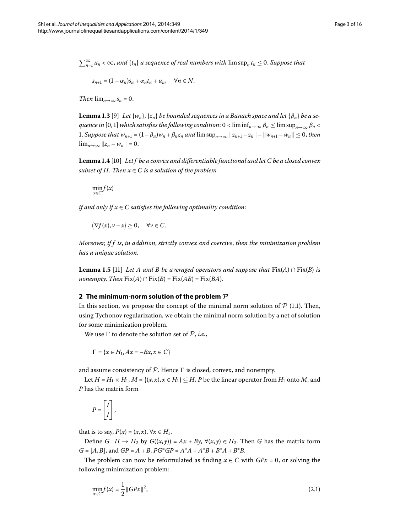<span id="page-2-4"></span> $\sum_{n=1}^{\infty} u_n < \infty$ , and  $\{t_n\}$  a sequence of real numbers with  $\limsup_n t_n \leq 0$ . Suppose that

$$
s_{n+1}=(1-\alpha_n)s_n+\alpha_nt_n+u_n, \quad \forall n\in N.
$$

<span id="page-2-2"></span>*Then*  $\lim_{n\to\infty} s_n = 0$ .

**Lemma 1.3** [\[](#page-15-8)9] Let  $\{w_n\}$ ,  $\{z_n\}$  be bounded sequences in a Banach space and let  $\{\beta_n\}$  be a se*quence in* [0,1] *which satisfies the following condition*:  $0 < \liminf_{n\to\infty} \beta_n \leq \limsup_{n\to\infty} \beta_n <$ 1. *Suppose that*  $w_{n+1} = (1 - \beta_n)w_n + \beta_n z_n$  *and*  $\limsup_{n \to \infty} ||z_{n+1} - z_n|| - ||w_{n+1} - w_n|| \leq 0$ , then  $\lim_{n\to\infty} ||z_n - w_n|| = 0.$ 

Lemma 1.4 [10[\]](#page-15-9) Let f be a convex and differentiable functional and let C be a closed convex *subset of H. Then*  $x \in C$  *is a solution of the problem* 

 $\min_{x \in C} f(x)$ 

<span id="page-2-3"></span>*if and only if*  $x \in C$  *satisfies the following optimality condition*:

 $\langle \nabla f(x), v - x \rangle \geq 0, \quad \forall v \in C.$ 

<span id="page-2-0"></span>*Moreover*, *if f is*, *in addition*, *strictly convex and coercive*, *then the minimization problem has a unique solution*.

**Lemma 1.5** [\[](#page-15-10)11] *Let A and B be averaged operators and suppose that*  $Fix(A) \cap Fix(B)$  *is nonempty. Then*  $Fix(A) \cap Fix(B) = Fix(AB) = Fix(BA)$ .

## **2 The minimum-norm solution of the problem** *P*

In this section, we propose the concept of the minimal norm solution of  $P$  (1.1). Then, using Tychonov regularization, we obtain the minimal norm solution by a net of solution for some minimization problem.

We use  $\Gamma$  to denote the solution set of  $\mathcal{P}$ , *i.e.*,

$$
\Gamma = \{x \in H_1, Ax = -Bx, x \in C\}
$$

and assume consistency of  $P$ . Hence  $\Gamma$  is closed, convex, and nonempty.

Let  $H = H_1 \times H_1$ ,  $M = \{(x, x), x \in H_1\} \subseteq H$ , *P* be the linear operator from  $H_1$  onto *M*, and *P* has the matrix form

<span id="page-2-1"></span>
$$
P = \begin{bmatrix} I \\ I \end{bmatrix},
$$

that is to say,  $P(x) = (x, x)$ ,  $\forall x \in H_1$ .

Define *G* : *H* → *H*<sub>2</sub> by *G*((*x*, *y*)) = *Ax* + *By*,  $\forall$ (*x*, *y*) ∈ *H*<sub>2</sub>. Then *G* has the matrix form  $G = [A, B]$ , and  $GP = A + B$ ,  $PG^*GP = A^*A + A^*B + B^*A + B^*B$ .

The problem can now be reformulated as finding  $x \in C$  with  $GPx = 0$ , or solving the following minimization problem:

$$
\min_{x \in C} f(x) = \frac{1}{2} \|GPx\|^2,\tag{2.1}
$$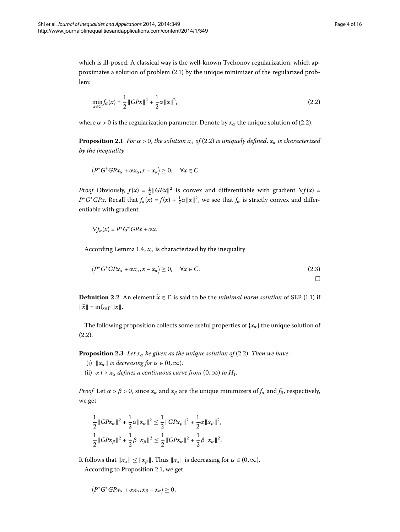$\Box$ 

<span id="page-3-1"></span>which is ill-posed. A classical way is the well-known Tychonov regularization, which approximates a solution of problem  $(2.1)$  by the unique minimizer of the regularized problem:

<span id="page-3-0"></span>
$$
\min_{x \in C} f_{\alpha}(x) = \frac{1}{2} ||GPx||^2 + \frac{1}{2}\alpha ||x||^2,
$$
\n(2.2)

where  $\alpha > 0$  is the regularization parameter. Denote by  $x_\alpha$  the unique solution of (2.2).

**Proposition 2[.](#page-3-0)1** *For*  $\alpha > 0$ *, the solution*  $x_{\alpha}$  *of* (2.2) *is uniquely defined.*  $x_{\alpha}$  *is characterized by the inequality*

$$
\langle P^*G^*G P x_\alpha + \alpha x_\alpha, x - x_\alpha \rangle \geq 0, \quad \forall x \in C.
$$

*Proof* Obviously,  $f(x) = \frac{1}{2} ||GPx||^2$  is convex and differentiable with gradient  $\nabla f(x) =$ *P*\**G*\**GPx*. Recall that  $f_\alpha(x) = f(x) + \frac{1}{2}\alpha ||x||^2$ , we see that  $f_\alpha$  is strictly convex and differentiable with gradient

$$
\nabla f_{\alpha}(x) = P^*G^*G P x + \alpha x.
$$

According Lemma 1[.](#page-2-2)4,  $x_\alpha$  is characterized by the inequality

$$
\left\langle P^*G^*GPx_\alpha + \alpha x_\alpha, x - x_\alpha \right\rangle \ge 0, \quad \forall x \in C. \tag{2.3}
$$

**Definition 2.2** An element  $\tilde{x} \in \Gamma$  is said to be the *minimal norm solution* of SEP (1.1) if  $\|\tilde{x}\| = \inf_{x \in \Gamma} \|x\|.$ 

The following proposition collects some useful properties of  $\{x_\alpha\}$  the unique solution of  $(2.2).$ 

**Proposition 2.3** Let  $x_\alpha$  be given as the unique solution of (2.2). Then we have:

- (i)  $\|x_{\alpha}\|$  *is decreasing for*  $\alpha \in (0, \infty)$ .
- (ii)  $\alpha \mapsto x_{\alpha}$  *defines a continuous curve from*  $(0, \infty)$  *to*  $H_1$ .

*Proof* Let  $\alpha > \beta > 0$ , since  $x_{\alpha}$  and  $x_{\beta}$  are the unique minimizers of  $f_{\alpha}$  and  $f_{\beta}$ , respectively, we get

$$
\frac{1}{2} ||GPx_{\alpha}||^{2} + \frac{1}{2} \alpha ||x_{\alpha}||^{2} \leq \frac{1}{2} ||GPx_{\beta}||^{2} + \frac{1}{2} \alpha ||x_{\beta}||^{2},
$$
  

$$
\frac{1}{2} ||GPx_{\beta}||^{2} + \frac{1}{2} \beta ||x_{\beta}||^{2} \leq \frac{1}{2} ||GPx_{\alpha}||^{2} + \frac{1}{2} \beta ||x_{\alpha}||^{2}.
$$

It follows that  $\|x_{\alpha}\| \leq \|x_{\beta}\|$ . Thus  $\|x_{\alpha}\|$  is decreasing for  $\alpha \in (0, \infty)$ .

According to Proposition 2[.](#page-3-1)1, we get

$$
\left\langle P^*G^*G P x_\alpha + \alpha x_\alpha, x_\beta - x_\alpha \right\rangle \geq 0,
$$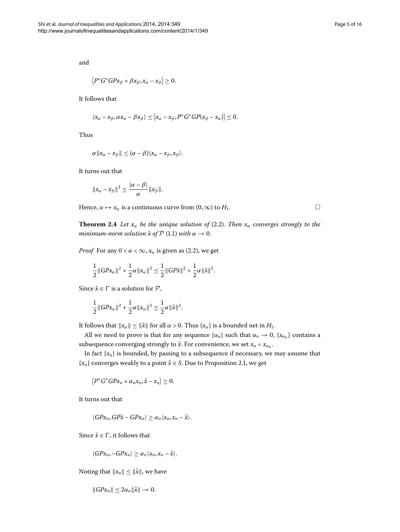and

$$
\langle P^*G^*G P x_\beta + \beta x_\beta, x_\alpha - x_\beta \rangle \geq 0.
$$

It follows that

$$
\langle x_{\alpha}-x_{\beta}, \alpha x_{\alpha}-\beta x_{\beta}\rangle \leq \langle x_{\alpha}-x_{\beta}, P^*G^*GP(x_{\beta}-x_{\alpha})\rangle \leq 0.
$$

Thus

$$
\alpha\|x_{\alpha}-x_{\beta}\|\leq (\alpha-\beta)\langle x_{\alpha}-x_{\beta},x_{\beta}\rangle.
$$

<span id="page-4-0"></span>It turns out that

$$
||x_{\alpha}-x_{\beta}||^2 \leq \frac{|\alpha-\beta|}{\alpha}||x_{\beta}||.
$$

Hence,  $\alpha \mapsto x_\alpha$  is a continuous curve from  $(0, \infty)$  to  $H_1$ .

**Theorem 2.4** Let  $x_\alpha$  be the unique solution of (2.2). Then  $x_\alpha$  converges strongly to the *minimum-norm solution*  $\tilde{x}$  *of*  $\mathcal{P}$  (1.1) *with*  $\alpha \to 0$ .

*Proof* For any  $0 < \alpha < \infty$ ,  $x_\alpha$  is given as (2[.](#page-3-0)2), we get

$$
\frac{1}{2}||GPx_{\alpha}||^{2} + \frac{1}{2}\alpha||x_{\alpha}||^{2} \leq \frac{1}{2}||GP\tilde{x}||^{2} + \frac{1}{2}\alpha||\tilde{x}||^{2}.
$$

Since  $\tilde{x} \in \Gamma$  is a solution for  $P$ ,

$$
\frac{1}{2} ||GPx_{\alpha}||^{2} + \frac{1}{2} \alpha ||x_{\alpha}||^{2} \leq \frac{1}{2} \alpha ||\tilde{x}||^{2}.
$$

It follows that  $||x_\alpha|| \le ||\tilde{x}||$  for all  $\alpha > 0$ . Thus  $\{x_\alpha\}$  is a bounded net in  $H_1$ .

All we need to prove is that for any sequence  $\{\alpha_n\}$  such that  $\alpha_n \to 0$ ,  $\{x_{\alpha_n}\}$  contains a subsequence converging strongly to  $\tilde{x}$ . For convenience, we set  $x_n = x_{\alpha_n}$ .

In fact  $\{x_n\}$  is bounded, by passing to a subsequence if necessary, we may assume that  ${x_n}$  converges weakly to a point  $\hat{x} \in S$ [.](#page-3-1) Due to Proposition 2.1, we get

 $\langle P^*G^*G^*X_n + \alpha_n x_n, \tilde{x} - x_n \rangle \geq 0.$ 

It turns out that

$$
\langle GPx_n, GP\tilde{x} - GPx_n \rangle \geq \alpha_n \langle x_n, x_n - \tilde{x} \rangle.
$$

Since  $\tilde{x} \in \Gamma$ , it follows that

$$
\langle GPx_n, -GPx_n \rangle \geq \alpha_n \langle x_n, x_n - \tilde{x} \rangle.
$$

Noting that  $||x_n|| \le ||\tilde{x}||$ , we have

$$
||GPx_n|| \leq 2\alpha_n ||\tilde{x}|| \to 0.
$$

 $\Box$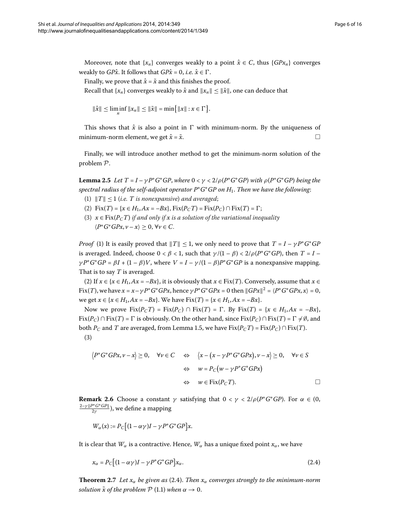Moreover, note that  $\{x_n\}$  converges weakly to a point  $\hat{x} \in C$ , thus  $\{GPx_n\}$  converges weakly to *GP* $\hat{x}$ . It follows that *GP* $\hat{x} = 0$ , *i.e.*  $\hat{x} \in \Gamma$ .

Finally, we prove that  $\hat{x} = \tilde{x}$  and this finishes the proof.

Recall that  $\{x_n\}$  converges weakly to  $\hat{x}$  and  $\|x_n\| \leq \|\tilde{x}\|$ , one can deduce that

$$
\|\hat{x}\| \le \liminf_{n} \|x_n\| \le \|\tilde{x}\| = \min\{\|x\| : x \in \Gamma\}.
$$

<span id="page-5-1"></span>This shows that  $\hat{x}$  is also a point in  $\Gamma$  with minimum-norm. By the uniqueness of minimum-norm element, we get  $\hat{x} = \tilde{x}$ .

Finally, we will introduce another method to get the minimum-norm solution of the problem P.

**Lemma 2.5** Let  $T = I - \gamma P^* G^* G P$ , where  $0 < \gamma < 2/\rho (P^* G^* G P)$  with  $\rho (P^* G^* G P)$  being the *spectral radius of the self-adjoint operator P*∗*G*∗*GP on H*. *Then we have the following*:

- (1)  $||T|| \le 1$  (*i.e. T is nonexpansive*) *and averaged*;
- (2)  $Fix(T) = \{x \in H_1, Ax = -Bx\}, Fix(P_C T) = Fix(P_C) \cap Fix(T) = \Gamma;$
- (3)  $x \in Fix(P<sub>C</sub>T)$  *if and only if* x *is a solution of the variational inequality*  $\langle P^*G^*G^*X, \nu - x \rangle \geq 0, \forall \nu \in C.$

*Proof* (1) It is easily proved that  $||T|| \leq 1$ , we only need to prove that  $T = I - \gamma P^* G^* G P$ is averaged. Indeed, choose  $0 < \beta < 1$ , such that  $\gamma/(1-\beta) < 2/\rho(P^*G^*GP)$ , then  $T = I$ *γ P*<sup>∗</sup>*G*<sup>∗</sup>*GP* = *βI* + (1 – *β*)*V*, where  $V = I - \gamma/(1 - \beta)P$ <sup>∗</sup>*G*<sup>∗</sup>*GP* is a nonexpansive mapping. That is to say *T* is averaged.

(2) If  $x \in \{x \in H_1, Ax = -Bx\}$ , it is obviously that  $x \in Fix(T)$ . Conversely, assume that  $x \in$ Fix(*T*), we have  $x = x - \gamma P^* G^* G P x$ , hence  $\gamma P^* G^* G P x = 0$  then  $||G P x||^2 = \langle P^* G^* G P x, x \rangle = 0$ , we get *x* ∈ {*x* ∈ *H*<sub>1</sub>, *Ax* = −*Bx*}. We have Fix(*T*) = {*x* ∈ *H*<sub>1</sub>, *Ax* = −*Bx*}.

Now we prove Fix( $P_C T$ ) = Fix( $P_C$ ) ∩ Fix( $T$ ) =  $\Gamma$ . By Fix( $T$ ) = { $x \in H_1, Ax = -Bx$ }, Fix( $P_C$ ) ∩ Fix( $T$ ) =  $\Gamma$  is obviously. On the other hand, since Fix( $P_C$ ) ∩ Fix( $T$ ) =  $\Gamma \neq \emptyset$ , and both *P<sub>C</sub>* and *T* are averaged, from Lemma 1[.](#page-2-3)5, we have  $Fix(P_CT) = Fix(P_C) \cap Fix(T)$ .  $(3)$ 

$$
\langle P^*G^*GPx, \nu - x \rangle \ge 0, \quad \forall \nu \in C \quad \Leftrightarrow \quad \langle x - (x - \gamma P^*G^*GPx), \nu - x \rangle \ge 0, \quad \forall \nu \in S
$$

$$
\Leftrightarrow \quad w = P_C(w - \gamma P^*G^*GPx)
$$

$$
\Leftrightarrow \quad w \in \text{Fix}(P_CT). \qquad \Box
$$

**Remark 2.6** Choose a constant  $\gamma$  satisfying that  $0 < \gamma < \frac{2}{\rho} (P^*G^*G^*)$ . For  $\alpha \in (0, 1)$  $\frac{2-\gamma\|P^*G^*GP\|}{2\gamma}$ ), we define a mapping

<span id="page-5-0"></span>
$$
W_{\alpha}(x) := P_C \big[ (1 - \alpha \gamma)I - \gamma P^* G^* G P \big] x.
$$

It is clear that  $W_\alpha$  is a contractive. Hence,  $W_\alpha$  has a unique fixed point  $x_\alpha$ , we have

$$
x_{\alpha} = P_C \left[ (1 - \alpha \gamma)I - \gamma P^* G^* G P \right] x_{\alpha}.
$$
\n(2.4)

**Theorem 2.7** Let  $x_\alpha$  be given as (2.4). Then  $x_\alpha$  converges strongly to the minimum-norm *solution*  $\tilde{x}$  *of the problem*  $P$  (1[.](#page-0-1)1) *when*  $\alpha \rightarrow 0$ *.*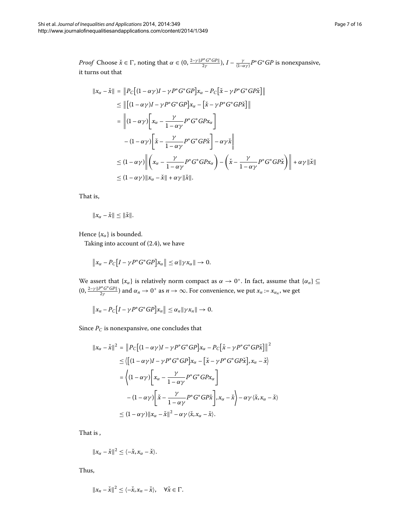*Proof* Choose  $\check{x} \in \Gamma$ , noting that  $\alpha \in (0, \frac{2-\gamma\|P^*\mathsf{G}^*\mathsf{G}P\|}{2\gamma}), I - \frac{\gamma}{(1-\alpha\gamma)}P^*G^*\mathsf{G}P$  is nonexpansive, it turns out that

$$
\|x_{\alpha} - \check{x}\| = \|P_C[(1 - \alpha \gamma)I - \gamma P^* G^* G P]x_{\alpha} - P_C[\check{x} - \gamma P^* G^* G P \check{x}] \|
$$
  
\n
$$
\leq \|[(1 - \alpha \gamma)I - \gamma P^* G^* G P]x_{\alpha} - [\check{x} - \gamma P^* G^* G P \check{x}] \|
$$
  
\n
$$
= \|(1 - \alpha \gamma) \Big[x_{\alpha} - \frac{\gamma}{1 - \alpha \gamma} P^* G^* G P x_{\alpha}\Big]
$$
  
\n
$$
- (1 - \alpha \gamma) \Big[\check{x} - \frac{\gamma}{1 - \alpha \gamma} P^* G^* G P \check{x}\Big] - \alpha \gamma \check{x} \|
$$
  
\n
$$
\leq (1 - \alpha \gamma) \Big\| \Big(x_{\alpha} - \frac{\gamma}{1 - \alpha \gamma} P^* G^* G P x_{\alpha}\Big) - \Big(\check{x} - \frac{\gamma}{1 - \alpha \gamma} P^* G^* G P \check{x}\Big) \| + \alpha \gamma \|\check{x}\|
$$
  
\n
$$
\leq (1 - \alpha \gamma) \|x_{\alpha} - \check{x}\| + \alpha \gamma \|\check{x}\|.
$$

That is,

$$
||x_{\alpha}-\check{x}||\leq ||\check{x}||.
$$

Hence  $\{x_\alpha\}$  is bounded.

Taking into account of  $(2.4)$ , we have

$$
\|x_{\alpha}-P_{C}\big[I-\gamma P^*G^*GP\big]x_{\alpha}\|\leq \alpha \|\gamma x_{\alpha}\|\to 0.
$$

We assert that  $\{x_\alpha\}$  is relatively norm compact as  $\alpha \to 0^+$ . In fact, assume that  $\{\alpha_n\} \subseteq$  $(0, \frac{2-\gamma\|P^*\,G^*\,GP\|}{2\gamma})$  and  $\alpha_n\to 0^+$  as  $n\to\infty.$  For convenience, we put  $x_n:=x_{\alpha_n},$  we get

$$
||x_n - P_C[I - \gamma P^* G^* G P] x_n|| \leq \alpha_n ||\gamma x_n|| \to 0.
$$

Since  $\mathcal{P}_C$  is nonexpansive, one concludes that

$$
||x_{\alpha} - \check{x}||^{2} = ||P_{C}[(1 - \alpha \gamma)I - \gamma P^{*}G^{*}GP]x_{\alpha} - P_{C}[\check{x} - \gamma P^{*}G^{*}GP\check{x}]||^{2}
$$
  
\n
$$
\leq \langle [(1 - \alpha \gamma)I - \gamma P^{*}G^{*}GP]x_{\alpha} - [\check{x} - \gamma P^{*}G^{*}GP\check{x}], x_{\alpha} - \check{x} \rangle
$$
  
\n
$$
= \langle (1 - \alpha \gamma) [x_{\alpha} - \frac{\gamma}{1 - \alpha \gamma} P^{*}G^{*}GPx_{\alpha}]
$$
  
\n
$$
- (1 - \alpha \gamma) [\check{x} - \frac{\gamma}{1 - \alpha \gamma} P^{*}G^{*}GP\check{x}], x_{\alpha} - \check{x} \rangle - \alpha \gamma \langle \check{x}, x_{\alpha} - \check{x} \rangle
$$
  
\n
$$
\leq (1 - \alpha \gamma) ||x_{\alpha} - \check{x}||^{2} - \alpha \gamma \langle \check{x}, x_{\alpha} - \check{x} \rangle.
$$

That is ,

$$
||x_{\alpha}-\check{x}||^2 \leq \langle -\check{x}, x_{\alpha}-\check{x}\rangle.
$$

Thus,

$$
||x_n - \check{x}||^2 \le \langle -\check{x}, x_n - \check{x} \rangle, \quad \forall \check{x} \in \Gamma.
$$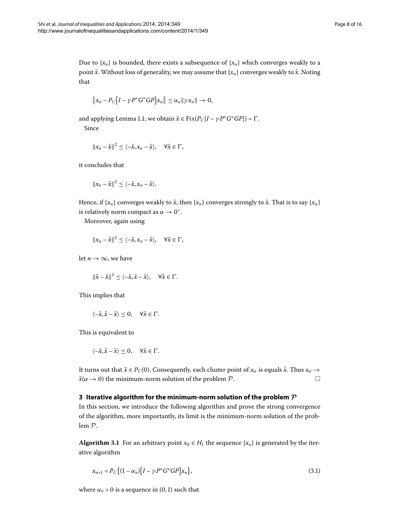Due to  $\{x_n\}$  is bounded, there exists a subsequence of  $\{x_n\}$  which converges weakly to a point  $\tilde{x}$ . Without loss of generality, we may assume that  $\{x_n\}$  converges weakly to  $\tilde{x}$ . Noting that

$$
||x_n - P_C[I - \gamma P^* G^* G P] x_n|| \leq \alpha_n ||\gamma x_n|| \to 0,
$$

and applying Lemma 1.1, we obtain  $\tilde{x} \in \text{Fix}(P_C[I - \gamma P^* G^* G P]) = \Gamma$ . Since

 $||x_n - \check{x}||^2 \le \langle -\check{x}, x_n - \check{x} \rangle, \quad \forall \check{x} \in \Gamma,$ 

it concludes that

$$
||x_n-\tilde{x}||^2\leq\langle-\tilde{x},x_n-\tilde{x}\rangle.
$$

Hence, if {*x<sub>n</sub>*} converges weakly to  $\tilde{x}$ , then {*x<sub>n</sub>*} converges strongly to  $\tilde{x}$ . That is to say {*x<sub>a</sub>*} is relatively norm compact as  $\alpha \rightarrow 0^+$ .

Moreover, again using

$$
||x_n - \check{x}||^2 \le \langle -\check{x}, x_n - \check{x} \rangle, \quad \forall \check{x} \in \Gamma,
$$

let  $n \to \infty$ , we have

 $\|\tilde{x} - \check{x}\|^2 < \langle -\check{x}, \tilde{x} - \check{x} \rangle, \quad \forall \check{x} \in \Gamma.$ 

This implies that

$$
\langle -\check{x}, \check{x} - \tilde{x} \rangle \leq 0, \quad \forall \check{x} \in \Gamma.
$$

<span id="page-7-0"></span>This is equivalent to

$$
\langle -\tilde{x}, \check{x} - \tilde{x} \rangle \leq 0, \quad \forall \check{x} \in \Gamma.
$$

It turns out that  $\tilde{x} \in P_C(0)$ . Consequently, each cluster point of  $x_\alpha$  is equals  $\tilde{x}$ . Thus  $x_\alpha \to$  $\tilde{x}(\alpha \rightarrow 0)$  the minimum-norm solution of the problem  $P$ .  $\Box$ 

## **3 Iterative algorithm for the minimum-norm solution of the problem** *P*

In this section, we introduce the following algorithm and prove the strong convergence of the algorithm, more importantly, its limit is the minimum-norm solution of the problem P.

**Algorithm 3.1** For an arbitrary point  $x_0 \in H_1$  the sequence { $x_n$ } is generated by the iterative algorithm

<span id="page-7-1"></span>
$$
x_{n+1} = P_C \{(1 - \alpha_n)[I - \gamma P^* G^* G P] x_n\},\tag{3.1}
$$

where  $\alpha_n > 0$  is a sequence in  $(0, 1)$  such that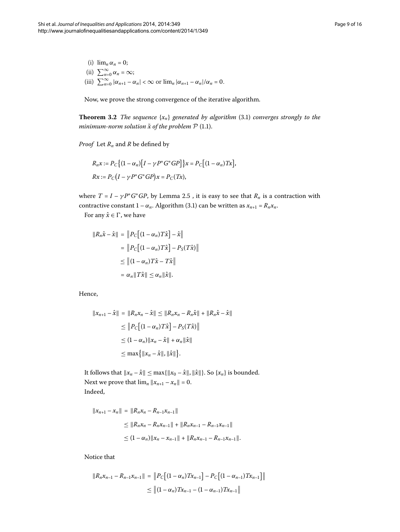<span id="page-8-0"></span>(i)  $\lim_{n \alpha_n} = 0$ ; (ii)  $\sum_{n=0}^{\infty} \alpha_n = \infty;$ (iii)  $\sum_{n=0}^{\infty} |\alpha_{n+1} - \alpha_n| < \infty$  or  $\lim_{n} |\alpha_{n+1} - \alpha_n|/\alpha_n = 0$ .

Now, we prove the strong convergence of the iterative algorithm.

**Theorem 3[.](#page-7-1)2** *The sequence*  $\{x_n\}$  *generated by algorithm* (3.1) *converges strongly to the minimum-norm solution*  $\tilde{x}$  *of the problem*  $P$  (1[.](#page-0-1)1).

*Proof* Let *Rn* and *R* be defined by

$$
R_n x := P_C \left\{ (1 - \alpha_n) [I - \gamma P^* G^* G P] \right\} x = P_C \left[ (1 - \alpha_n) Tx \right],
$$
  

$$
Rx := P_C \left( I - \gamma P^* G^* G P \right) x = P_C(Tx),
$$

where  $T = I - \gamma P^* G^* G P$ , by Lemma 2[.](#page-5-1)5, it is easy to see that  $R_n$  is a contraction with contractive constant  $1 - \alpha_n$ . Algorithm (3.1) can be written as  $x_{n+1} = R_n x_n$ .

For any  $\hat{x} \in \Gamma$ , we have

$$
||R_n\hat{x} - \hat{x}|| = ||P_C[(1 - \alpha_n)T\hat{x}] - \hat{x}||
$$
  
= 
$$
||P_C[(1 - \alpha_n)T\hat{x}] - P_S(T\hat{x})||
$$
  

$$
\leq ||(1 - \alpha_n)T\hat{x} - T\hat{x}||
$$
  
= 
$$
\alpha_n ||T\hat{x}|| \leq \alpha_n ||\hat{x}||.
$$

Hence,

$$
||x_{n+1} - \hat{x}|| = ||R_n x_n - \hat{x}|| \le ||R_n x_n - R_n \hat{x}|| + ||R_n \hat{x} - \hat{x}||
$$
  
\n
$$
\le ||P_C[(1 - \alpha_n)T\hat{x}] - P_S(T\hat{x})||
$$
  
\n
$$
\le (1 - \alpha_n) ||x_n - \hat{x}|| + \alpha_n ||\hat{x}||
$$
  
\n
$$
\le \max \{ ||x_n - \hat{x}||, ||\hat{x}|| \}.
$$

It follows that  $||x_n - \hat{x}|| \le \max\{||x_0 - \hat{x}||, ||\hat{x}||\}$ . So  $\{x_n\}$  is bounded. Next we prove that  $\lim_{n} ||x_{n+1} - x_n|| = 0$ . Indeed,

$$
||x_{n+1} - x_n|| = ||R_n x_n - R_{n-1} x_{n-1}||
$$
  
\n
$$
\le ||R_n x_n - R_n x_{n-1}|| + ||R_n x_{n-1} - R_{n-1} x_{n-1}||
$$
  
\n
$$
\le (1 - \alpha_n) ||x_n - x_{n-1}|| + ||R_n x_{n-1} - R_{n-1} x_{n-1}||.
$$

Notice that

$$
||R_n x_{n-1} - R_{n-1} x_{n-1}|| = ||P_C[(1 - \alpha_n)Tx_{n-1}] - P_C[(1 - \alpha_{n-1})Tx_{n-1}]||
$$
  
\n
$$
\le ||(1 - \alpha_n)Tx_{n-1} - (1 - \alpha_{n-1})Tx_{n-1}||
$$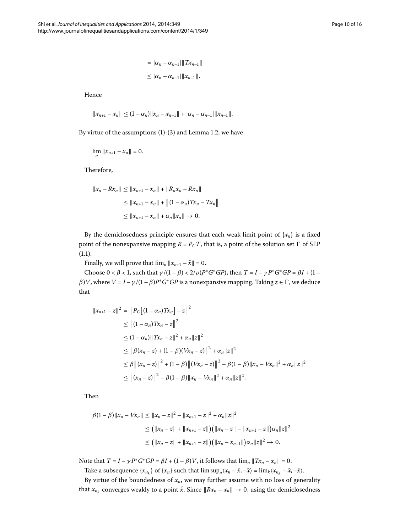Hence

$$
||x_{n+1}-x_n|| \leq (1-\alpha_n)||x_n-x_{n-1}||+|\alpha_n-\alpha_{n-1}||x_{n-1}||.
$$

By virtue of the assumptions  $(1)-(3)$  and Lemma 1[.](#page-1-1)2, we have

$$
\lim_{n} \|x_{n+1} - x_n\| = 0.
$$

Therefore,

$$
||x_n - Rx_n|| \le ||x_{n+1} - x_n|| + ||R_nx_n - Rx_n||
$$
  
\n
$$
\le ||x_{n+1} - x_n|| + ||(1 - \alpha_n)Tx_n - Tx_n||
$$
  
\n
$$
\le ||x_{n+1} - x_n|| + \alpha_n ||x_n|| \to 0.
$$

By the demiclosedness principle ensures that each weak limit point of  $\{x_n\}$  is a fixed point of the nonexpansive mapping  $R = P_C T$ , that is, a point of the solution set  $\Gamma$  of SEP  $(1.1).$  $(1.1).$  $(1.1).$ 

Finally, we will prove that  $\lim_{n} ||x_{n+1} - \tilde{x}|| = 0$ .

Choose  $0 < \beta < 1$ , such that  $\gamma/(1-\beta) < 2/\rho(P^*G^*GP)$ , then  $T = I - \gamma P^*G^*GP = \beta I + (1-\beta)$  $\beta$ *)V*, where  $V = I - \gamma/(1 - \beta)P^*G^*GP$  is a nonexpansive mapping. Taking  $z \in \Gamma$ , we deduce that

$$
||x_{n+1} - z||^2 = ||P_C[(1 - \alpha_n)Tx_n] - z||^2
$$
  
\n
$$
\leq ||(1 - \alpha_n)Tx_n - z||^2
$$
  
\n
$$
\leq (1 - \alpha_n) ||Tx_n - z||^2 + \alpha_n ||z||^2
$$
  
\n
$$
\leq ||\beta(x_n - z) + (1 - \beta)(Vx_n - z)||^2 + \alpha_n ||z||^2
$$
  
\n
$$
\leq ||\beta(x_n - z)||^2 + (1 - \beta) ||(Vx_n - z)||^2 - \beta(1 - \beta) ||x_n - Vx_n||^2 + \alpha_n ||z||^2
$$
  
\n
$$
\leq ||(x_n - z)||^2 - \beta(1 - \beta) ||x_n - Vx_n||^2 + \alpha_n ||z||^2.
$$

Then

$$
\beta(1-\beta)\|x_n - Vx_n\| \le \|x_n - z\|^2 - \|x_{n+1} - z\|^2 + \alpha_n \|z\|^2
$$
  
\n
$$
\le \left(\|x_n - z\| + \|x_{n+1} - z\|\right) \left(\|x_n - z\| - \|x_{n+1} - z\|\right) \alpha_n \|z\|^2
$$
  
\n
$$
\le \left(\|x_n - z\| + \|x_{n+1} - z\|\right) \left(\|x_n - x_{n+1}\|\right) \alpha_n \|z\|^2 \to 0.
$$

Note that  $T = I - \gamma P^* G^* G P = \beta I + (1 - \beta)V$ , it follows that  $\lim_n ||Tx_n - x_n|| = 0$ .

Take a subsequence  $\{x_{n_k}\}$  of  $\{x_n\}$  such that  $\limsup_n \langle x_n - \tilde{x}, -\tilde{x} \rangle = \lim_k \langle x_{n_k} - \tilde{x}, -\tilde{x} \rangle$ .

By virtue of the boundedness of  $x_n$ , we may further assume with no loss of generality that  $x_{n_k}$  converges weakly to a point  $\check{x}$ . Since  $||Rx_n - x_n|| \to 0$ , using the demiclosedness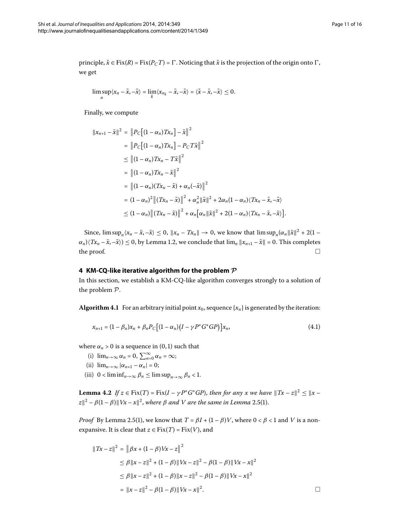principle,  $\check{x} \in \text{Fix}(R) = \text{Fix}(P_C) = \Gamma$ . Noticing that  $\tilde{x}$  is the projection of the origin onto  $\Gamma$ , we get

$$
\limsup_n \langle x_n - \tilde{x}, -\tilde{x} \rangle = \lim_k \langle x_{n_k} - \tilde{x}, -\tilde{x} \rangle = \langle \tilde{x} - \tilde{x}, -\tilde{x} \rangle \leq 0.
$$

Finally, we compute

$$
||x_{n+1} - \tilde{x}||^2 = ||P_C[(1 - \alpha_n)Tx_n] - \tilde{x}||^2
$$
  
\n
$$
= ||P_C[(1 - \alpha_n)Tx_n] - P_C T \tilde{x}||^2
$$
  
\n
$$
\leq ||(1 - \alpha_n)Tx_n - T \tilde{x}||^2
$$
  
\n
$$
= ||(1 - \alpha_n)Tx_n - \tilde{x}||^2
$$
  
\n
$$
= ||(1 - \alpha_n)(Tx_n - \tilde{x}) + \alpha_n(-\tilde{x})||^2
$$
  
\n
$$
= (1 - \alpha_n)^2 ||(Tx_n - \tilde{x})||^2 + \alpha_n^2 ||\tilde{x}||^2 + 2\alpha_n(1 - \alpha_n)\langle Tx_n - \tilde{x}, -\tilde{x}\rangle
$$
  
\n
$$
\leq (1 - \alpha_n) ||(Tx_n - \tilde{x})||^2 + \alpha_n [\alpha_n ||\tilde{x}||^2 + 2(1 - \alpha_n)\langle Tx_n - \tilde{x}, -\tilde{x}\rangle].
$$

<span id="page-10-0"></span>Since,  $\limsup_{n} \langle x_n - \tilde{x}, -\tilde{x} \rangle \leq 0$ ,  $||x_n - Tx_n|| \to 0$ , we know that  $\limsup_{n} \langle \alpha_n ||\tilde{x}||^2 + 2(1 \alpha_n$ ) $(Tx_n - \tilde{x}, -\tilde{x}) \leq 0$ , by Lemma 1.2, we conclude that  $\lim_n ||x_{n+1} - \tilde{x}|| = 0$ . This completes the proof.  $\Box$ 

## **4 KM-CQ-like iterative algorithm for the problem** *P*

In this section, we establish a KM-CQ-like algorithm converges strongly to a solution of the problem P.

**Algorithm 4.1** For an arbitrary initial point  $x_0$ , sequence  $\{x_n\}$  is generated by the iteration:

<span id="page-10-1"></span>
$$
x_{n+1} = (1 - \beta_n)x_n + \beta_n P_C [(1 - \alpha_n)(I - \gamma P^* G^* G P)] x_n,
$$
\n(4.1)

<span id="page-10-2"></span>where  $\alpha_n > 0$  is a sequence in (0, 1) such that

- (i)  $\lim_{n\to\infty} \alpha_n = 0$ ,  $\sum_{n=0}^{\infty} \alpha_n = \infty$ ;
- (ii)  $\lim_{n\to\infty} |\alpha_{n+1} \alpha_n| = 0;$
- (iii)  $0 < \liminf_{n \to \infty} \beta_n \le \limsup_{n \to \infty} \beta_n < 1$ .

**Lemma 4.2** *If*  $z \in Fix(T) = Fix(I - \gamma P^*G^*GP)$ , *then for any x we have*  $||Tx - z||^2 \le ||x - y||^2$  $|z|^2 - \beta(1-\beta) ||Vx-x||^2$ , where  $\beta$  and V are the same in Lemma 2.5(1).

*Proof* By Lemma 2.5(1), we know that  $T = \beta I + (1 - \beta)V$ , where  $0 < \beta < 1$  and V is a nonexpansive. It is clear that  $z \in Fix(T) = Fix(V)$ , and

$$
\begin{aligned} ||Tx - z||^2 &= \left\| \beta x + (1 - \beta) Vx - z \right\|^2 \\ &\le \beta \left\| x - z \right\|^2 + (1 - \beta) ||Vx - z||^2 - \beta (1 - \beta) ||Vx - x||^2 \\ &\le \beta \left\| x - z \right\|^2 + (1 - \beta) ||x - z||^2 - \beta (1 - \beta) ||Vx - x||^2 \\ &= \left\| x - z \right\|^2 - \beta (1 - \beta) ||Vx - x||^2. \end{aligned}
$$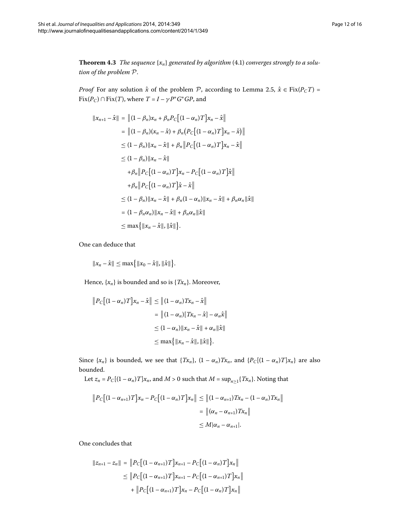<span id="page-11-0"></span>**Theorem 4.3** The sequence  $\{x_n\}$  generated by algorithm (4.1) converges strongly to a solu*tion of the problem* P.

*Proof* For any solution  $\hat{x}$  of the problem P, according to Lemma 2.5,  $\hat{x} \in Fix(P_C T) =$  $Fix(P_C) \cap Fix(T)$ , where  $T = I - \gamma P^* G^* G P$ , and

$$
||x_{n+1} - \hat{x}|| = ||(1 - \beta_n)x_n + \beta_n P_C[(1 - \alpha_n)T]x_n - \hat{x}||
$$
  
\n
$$
= ||(1 - \beta_n)(x_n - \hat{x}) + \beta_n (P_C[(1 - \alpha_n)T]x_n - \hat{x})||
$$
  
\n
$$
\leq (1 - \beta_n) ||x_n - \hat{x}|| + \beta_n ||P_C[(1 - \alpha_n)T]x_n - \hat{x}||
$$
  
\n
$$
\leq (1 - \beta_n) ||x_n - \hat{x}||
$$
  
\n
$$
+ \beta_n ||P_C[(1 - \alpha_n)T]x_n - P_C[(1 - \alpha_n)T]\hat{x}||
$$
  
\n
$$
+ \beta_n ||P_C[(1 - \alpha_n)T]\hat{x} - \hat{x}||
$$
  
\n
$$
\leq (1 - \beta_n) ||x_n - \hat{x}|| + \beta_n (1 - \alpha_n) ||x_n - \hat{x}|| + \beta_n \alpha_n ||\hat{x}||
$$
  
\n
$$
= (1 - \beta_n \alpha_n) ||x_n - \hat{x}|| + \beta_n \alpha_n ||\hat{x}||
$$
  
\n
$$
\leq \max \{ ||x_n - \hat{x}||, ||\hat{x}|| \}.
$$

One can deduce that

 $||x_n - \hat{x}|| \le \max\{||x_0 - \hat{x}||, ||\hat{x}||\}.$ 

Hence,  $\{x_n\}$  is bounded and so is  $\{Tx_n\}$ . Moreover,

$$
||P_C[(1-\alpha_n)T]x_n - \hat{x}|| \le ||(1-\alpha_n)Tx_n - \hat{x}||
$$
  
\n
$$
= ||(1-\alpha_n)[Tx_n - \hat{x}] - \alpha_n \hat{x}||
$$
  
\n
$$
\le (1-\alpha_n)||x_n - \hat{x}|| + \alpha_n ||\hat{x}||
$$
  
\n
$$
\le \max{||x_n - \hat{x}||, ||\hat{x}||}.
$$

Since  $\{x_n\}$  is bounded, we see that  $\{Tx_n\}$ ,  $(1 - \alpha_n)Tx_n$ , and  $\{P_C[(1 - \alpha_n)T]x_n\}$  are also bounded.

Let  $z_n = P_C[(1 - \alpha_n)T]x_n$ , and  $M > 0$  such that  $M = \sup_{n \ge 1} {T x_n}$ . Noting that

$$
||P_C[(1-\alpha_{n+1})T]x_n - P_C[(1-\alpha_n)T]x_n|| \le ||(1-\alpha_{n+1})Tx_n - (1-\alpha_n)Tx_n||
$$
  

$$
= ||(\alpha_n - \alpha_{n+1})Tx_n||
$$
  

$$
\le M|\alpha_n - \alpha_{n+1}|.
$$

One concludes that

$$
||z_{n+1} - z_n|| = ||P_C[(1 - \alpha_{n+1})T]x_{n+1} - P_C[(1 - \alpha_n)T]x_n||
$$
  
\n
$$
\leq ||P_C[(1 - \alpha_{n+1})T]x_{n+1} - P_C[(1 - \alpha_{n+1})T]x_n||
$$
  
\n
$$
+ ||P_C[(1 - \alpha_{n+1})T]x_n - P_C[(1 - \alpha_n)T]x_n||
$$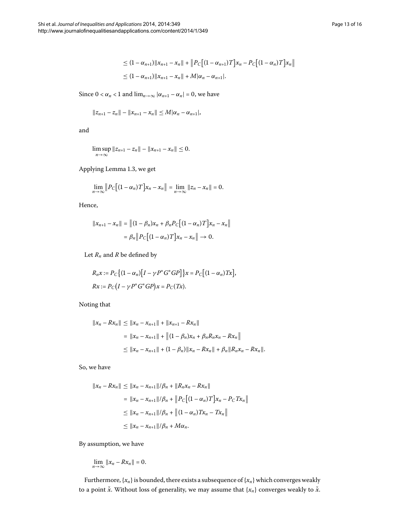$$
\leq (1 - \alpha_{n+1}) \|x_{n+1} - x_n\| + \|P_C[(1 - \alpha_{n+1})T]x_n - P_C[(1 - \alpha_n)T]x_n\|
$$
  

$$
\leq (1 - \alpha_{n+1}) \|x_{n+1} - x_n\| + M|\alpha_n - \alpha_{n+1}|.
$$

Since  $0 < \alpha_n < 1$  and  $\lim_{n \to \infty} |\alpha_{n+1} - \alpha_n| = 0$ , we have

$$
||z_{n+1}-z_n||-||x_{n+1}-x_n||\leq M|\alpha_n-\alpha_{n+1}|,
$$

and

$$
\limsup_{n\to\infty}||z_{n+1}-z_n||-||x_{n+1}-x_n||\leq 0.
$$

Applying Lemma 1[.](#page-2-4)3, we get

$$
\lim_{n\to\infty}\left\|P_C\big[(1-\alpha_n)T\big]x_n-x_n\right\|=\lim_{n\to\infty}\left\|z_n-x_n\right\|=0.
$$

Hence,

$$
||x_{n+1} - x_n|| = ||(1 - \beta_n)x_n + \beta_n P_C[(1 - \alpha_n)T]x_n - x_n||
$$
  
=  $\beta_n || P_C[(1 - \alpha_n)T]x_n - x_n || \to 0.$ 

Let  $R_n$  and  $R$  be defined by

$$
R_n x := P_C \{ (1 - \alpha_n) [I - \gamma P^* G^* G P] \} x = P_C \left[ (1 - \alpha_n) T x \right],
$$
  

$$
Rx := P_C \left( I - \gamma P^* G^* G P \right) x = P_C(T x).
$$

Noting that

$$
||x_n - Rx_n|| \le ||x_n - x_{n+1}|| + ||x_{n+1} - Rx_n||
$$
  
=  $||x_n - x_{n+1}|| + ||(1 - \beta_n)x_n + \beta_nR_nx_n - Rx_n||$   
 $\le ||x_n - x_{n+1}|| + (1 - \beta_n)||x_n - Rx_n|| + \beta_n||R_nx_n - Rx_n||.$ 

So, we have

$$
||x_n - Rx_n|| \le ||x_n - x_{n+1}||/\beta_n + ||R_n x_n - Rx_n||
$$
  
=  $||x_n - x_{n+1}||/\beta_n + ||P_C[(1 - \alpha_n)T]x_n - P_C Tx_n||$   
 $\le ||x_n - x_{n+1}||/\beta_n + ||(1 - \alpha_n)Tx_n - Tx_n||$   
 $\le ||x_n - x_{n+1}||/\beta_n + M\alpha_n.$ 

By assumption, we have

$$
\lim_{n\to\infty}||x_n-Rx_n||=0.
$$

Furthermore,  ${x_n}$  is bounded, there exists a subsequence of  ${x_n}$  which converges weakly to a point  $\check{x}$ . Without loss of generality, we may assume that  $\{x_n\}$  converges weakly to  $\check{x}$ .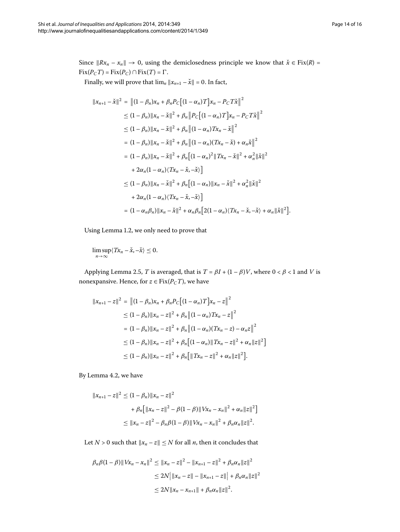Since  $||Rx_n - x_n|| \to 0$ , using the demiclosedness principle we know that  $\check{x} \in Fix(R) =$  $Fix(P<sub>C</sub>T) = Fix(P<sub>C</sub>) \cap Fix(T) = \Gamma$ .

Finally, we will prove that  $\lim_{n} ||x_{n+1} - \check{x}|| = 0$ . In fact,

$$
||x_{n+1} - \check{x}||^2 = ||(1 - \beta_n)x_n + \beta_n P_C[(1 - \alpha_n)T]x_n - P_C T \check{x}||^2
$$
  
\n
$$
\leq (1 - \beta_n) ||x_n - \check{x}||^2 + \beta_n ||P_C[(1 - \alpha_n)T]x_n - P_C T \check{x}||^2
$$
  
\n
$$
\leq (1 - \beta_n) ||x_n - \check{x}||^2 + \beta_n ||(1 - \alpha_n)Tx_n - \check{x}||^2
$$
  
\n
$$
= (1 - \beta_n) ||x_n - \check{x}||^2 + \beta_n ||(1 - \alpha_n)(Tx_n - \check{x}) + \alpha_n \check{x}||^2
$$
  
\n
$$
= (1 - \beta_n) ||x_n - \check{x}||^2 + \beta_n [(1 - \alpha_n)^2 ||Tx_n - \check{x}||^2 + \alpha_n^2 ||\check{x}||^2
$$
  
\n
$$
+ 2\alpha_n (1 - \alpha_n) (Tx_n - \check{x}, -\check{x})]
$$
  
\n
$$
\leq (1 - \beta_n) ||x_n - \check{x}||^2 + \beta_n [(1 - \alpha_n) ||x_n - \check{x}||^2 + \alpha_n^2 ||\check{x}||^2
$$
  
\n
$$
+ 2\alpha_n (1 - \alpha_n) (Tx_n - \check{x}, -\check{x})]
$$
  
\n
$$
= (1 - \alpha_n \beta_n) ||x_n - \check{x}||^2 + \alpha_n \beta_n [2(1 - \alpha_n) (Tx_n - \check{x}, -\check{x}) + \alpha_n ||\check{x}||^2].
$$

Using Lemma 1.2, we only need to prove that

$$
\limsup_{n\to\infty}\langle Tx_n-\check{x},-\check{x}\rangle\leq 0.
$$

Applying Lemma 2[.](#page-5-1)5, *T* is averaged, that is  $T = \beta I + (1 - \beta)V$ , where  $0 < \beta < 1$  and *V* is nonexpansive. Hence, for  $z \in Fix(P<sub>C</sub>T)$ , we have

$$
||x_{n+1} - z||^2 = ||(1 - \beta_n)x_n + \beta_n P_C [(1 - \alpha_n)T]x_n - z||^2
$$
  
\n
$$
\leq (1 - \beta_n) ||x_n - z||^2 + \beta_n ||(1 - \alpha_n)Tx_n - z||^2
$$
  
\n
$$
= (1 - \beta_n) ||x_n - z||^2 + \beta_n ||(1 - \alpha_n)(Tx_n - z) - \alpha_n z||^2
$$
  
\n
$$
\leq (1 - \beta_n) ||x_n - z||^2 + \beta_n [(1 - \alpha_n) ||Tx_n - z||^2 + \alpha_n ||z||^2]
$$
  
\n
$$
\leq (1 - \beta_n) ||x_n - z||^2 + \beta_n [||Tx_n - z||^2 + \alpha_n ||z||^2].
$$

By Lemma 4.2, we have

$$
||x_{n+1} - z||^2 \le (1 - \beta_n) ||x_n - z||^2
$$
  
+  $\beta_n [||x_n - z||^2 - \beta(1 - \beta) ||Vx_n - x_n||^2 + \alpha_n ||z||^2]$   
 $\le ||x_n - z||^2 - \beta_n \beta(1 - \beta) ||Vx_n - x_n||^2 + \beta_n \alpha_n ||z||^2.$ 

Let *N* > 0 such that  $||x_n - z|| \leq N$  for all *n*, then it concludes that

$$
\beta_n \beta (1 - \beta) \| Vx_n - x_n \|^2 \le \| x_n - z \|^2 - \| x_{n+1} - z \|^2 + \beta_n \alpha_n \| z \|^2
$$
  
\n
$$
\le 2N \| x_n - z \| - \| x_{n+1} - z \| + \beta_n \alpha_n \| z \|^2
$$
  
\n
$$
\le 2N \| x_n - x_{n+1} \| + \beta_n \alpha_n \| z \|^2.
$$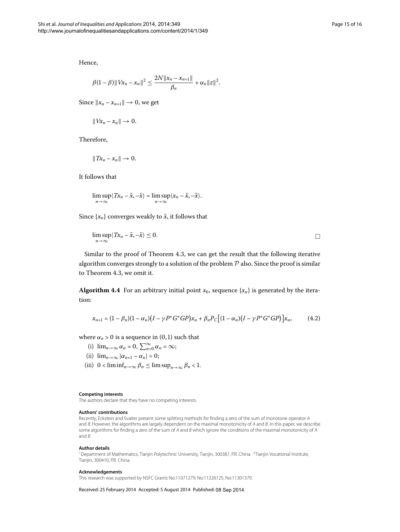Hence,

$$
\beta(1-\beta)\|Vx_n-x_n\|^2 \leq \frac{2N\|x_n-x_{n+1}\|}{\beta_n}+\alpha_n\|z\|^2.
$$

Since  $\|x_n - x_{n+1}\| \to 0$ , we get

$$
||Vx_n-x_n||\to 0.
$$

Therefore,

$$
||Tx_n - x_n|| \to 0.
$$

It follows that

$$
\limsup_{n\to\infty}\langle Tx_n-\check{x},-\check{x}\rangle=\limsup_{n\to\infty}\langle x_n-\check{x},-\check{x}\rangle.
$$

Since  $\{x_n\}$  converges weakly to  $\check{x}$ , it follows that

$$
\limsup_{n\to\infty}\langle Tx_n-\check{x},-\check{x}\rangle\leq 0.\qquad \qquad \Box
$$

Similar to the proof of Theorem  $4.3$  $4.3$  $4.3$ , we can get the result that the following iterative algorithm converges strongly to a solution of the problem  $P$  also. Since the proof is similar to Theorem 4.3, we omit it.

**Algorithm 4.4** For an arbitrary initial point  $x_0$ , sequence  $\{x_n\}$  is generated by the iteration:

$$
x_{n+1} = (1 - \beta_n)(1 - \alpha_n)(I - \gamma P^* G^* G P)x_n + \beta_n P_C [(1 - \alpha_n)(I - \gamma P^* G^* G P)]x_n, \qquad (4.2)
$$

where  $\alpha_n > 0$  is a sequence in (0, 1) such that

- (i)  $\lim_{n\to\infty} \alpha_n = 0$ ,  $\sum_{n=0}^{\infty} \alpha_n = \infty$ ;
- (ii)  $\lim_{n\to\infty} |\alpha_{n+1} \alpha_n| = 0;$
- <span id="page-14-1"></span>(iii)  $0 < \liminf_{n \to \infty} \beta_n \le \limsup_{n \to \infty} \beta_n < 1$ .

#### <span id="page-14-0"></span>**Competing interests**

The authors declare that they have no competing interests.

#### **Authors' contributions**

Recently, Eckstein and Svaiter present some splitting methods for finding a zero of the sum of monotone operator A and B. However, the algorithms are largely dependent on the maximal monotonicity of A and B. In this paper, we describe some algorithms for finding a zero of the sum of A and B which ignore the conditions of the maximal monotonicity of A and B.

#### **Author details**

<sup>1</sup>Department of Mathematics, Tianjin Polytechnic University, Tianjin, 300387, P.R. China. <sup>2</sup>Tianjin Vocational Institute, Tianjin, 300410, P.R. China.

#### **Acknowledgements**

This research was supported by NSFC Grants No:11071279; No:11226125; No:11301379.

Received: 25 February 2014 Accepted: 5 August 2014 Published: 08 Sep 2014